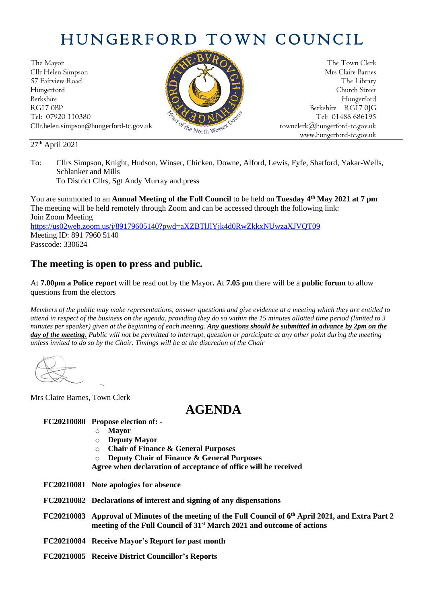# HUNGERFORD TOWN COUNCIL

The Mayor The Town Clerk Cllr Helen Simpson Mrs Claire Barnes 57 Fairview Road The Library (Contact of the Library Street Street (Contact of the Library Street Street Street Hungerford Church Street Berkshire Hungerford RG17 0BP Berkshire RG17 0JG Tel: 07920 110380 Tel: 01488 686195<br>Cllr.helen.simpson@hungerford-tc.gov.uk box box deresser townclerk@hungerford-tc.gov.uk Cllr.helen.simpson@hungerford-tc.gov.uk [townclerk@hungerford-tc.gov.uk](mailto:townclerk@hungerford-tc.gov.uk)

www.hungerford-tc.gov.uk

### 27 th April 2021

To: Cllrs Simpson, Knight, Hudson, Winser, Chicken, Downe, Alford, Lewis, Fyfe, Shatford, Yakar-Wells, Schlanker and Mills

To District Cllrs, Sgt Andy Murray and press

You are summoned to an **Annual Meeting of the Full Council** to be held on **Tuesday 4 th May 2021 at 7 pm** The meeting will be held remotely through Zoom and can be accessed through the following link: Join Zoom Meeting <https://us02web.zoom.us/j/89179605140?pwd=aXZBTlJlYjk4d0RwZkkxNUwzaXJVQT09> Meeting ID: 891 7960 5140 Passcode: 330624

## **The meeting is open to press and public.**

At **7.00pm a Police report** will be read out by the Mayor**.** At **7.05 pm** there will be a **public forum** to allow questions from the electors

*Members of the public may make representations, answer questions and give evidence at a meeting which they are entitled to attend in respect of the business on the agenda, providing they do so within the 15 minutes allotted time period (limited to 3 minutes per speaker) given at the beginning of each meeting. Any questions should be submitted in advance by 2pm on the day of the meeting. Public will not be permitted to interrupt, question or participate at any other point during the meeting unless invited to do so by the Chair. Timings will be at the discretion of the Chair*

Mrs Claire Barnes, Town Clerk

# **AGENDA**

### **FC20210080 Propose election of: -**

- o **Mayor**
- o **Deputy Mayor**
- o **Chair of Finance & General Purposes**
- o **Deputy Chair of Finance & General Purposes**

**Agree when declaration of acceptance of office will be received**

- **FC20210081 Note apologies for absence**
- **FC20210082 Declarations of interest and signing of any dispensations**
- **FC20210083 Approval of Minutes of the meeting of the Full Council of 6 th April 2021, and Extra Part 2 meeting of the Full Council of 31st March 2021 and outcome of actions**
- **FC20210084 Receive Mayor's Report for past month**
- **FC20210085 Receive District Councillor's Reports**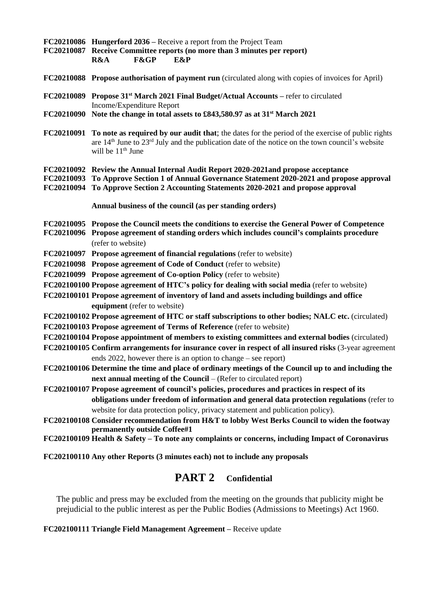**FC20210086 Hungerford 2036 –** Receive a report from the Project Team **FC20210087 Receive Committee reports (no more than 3 minutes per report) R&A F&GP E&P**

- **FC20210088 Propose authorisation of payment run** (circulated along with copies of invoices for April)
- **FC20210089 Propose 31st March 2021 Final Budget/Actual Accounts –** refer to circulated Income/Expenditure Report
- **FC20210090 Note the change in total assets to £843,580.97 as at 31st March 2021**
- **FC20210091 To note as required by our audit that**; the dates for the period of the exercise of public rights are 14th June to 23rd July and the publication date of the notice on the town council's website will be  $11<sup>th</sup>$  June
- **FC20210092 Review the Annual Internal Audit Report 2020-2021and propose acceptance**

**FC20210093 To Approve Section 1 of Annual Governance Statement 2020-2021 and propose approval**

**FC20210094 To Approve Section 2 Accounting Statements 2020-2021 and propose approval**

**Annual business of the council (as per standing orders)**

- **FC20210095 Propose the Council meets the conditions to exercise the General Power of Competence FC20210096 Propose agreement of standing orders which includes council's complaints procedure** (refer to website)
- **FC20210097 Propose agreement of financial regulations** (refer to website)
- **FC20210098 Propose agreement of Code of Conduct** (refer to website)
- **FC20210099 Propose agreement of Co-option Policy** (refer to website)
- **FC202100100 Propose agreement of HTC's policy for dealing with social media** (refer to website)
- **FC202100101 Propose agreement of inventory of land and assets including buildings and office equipment** (refer to website)
- **FC202100102 Propose agreement of HTC or staff subscriptions to other bodies; NALC etc.** (circulated)
- **FC202100103 Propose agreement of Terms of Reference** (refer to website)
- **FC202100104 Propose appointment of members to existing committees and external bodies** (circulated)
- **FC202100105 Confirm arrangements for insurance cover in respect of all insured risks** (3-year agreement ends 2022, however there is an option to change – see report)
- **FC202100106 Determine the time and place of ordinary meetings of the Council up to and including the next annual meeting of the Council** – (Refer to circulated report)
- **FC202100107 Propose agreement of council's policies, procedures and practices in respect of its obligations under freedom of information and general data protection regulations** (refer to website for data protection policy, privacy statement and publication policy).
- **FC202100108 Consider recommendation from H&T to lobby West Berks Council to widen the footway permanently outside Coffee#1**
- **FC202100109 Health & Safety – To note any complaints or concerns, including Impact of Coronavirus**

**FC202100110 Any other Reports (3 minutes each) not to include any proposals**

## **PART 2 Confidential**

The public and press may be excluded from the meeting on the grounds that publicity might be prejudicial to the public interest as per the Public Bodies (Admissions to Meetings) Act 1960.

#### **FC202100111 Triangle Field Management Agreement –** Receive update